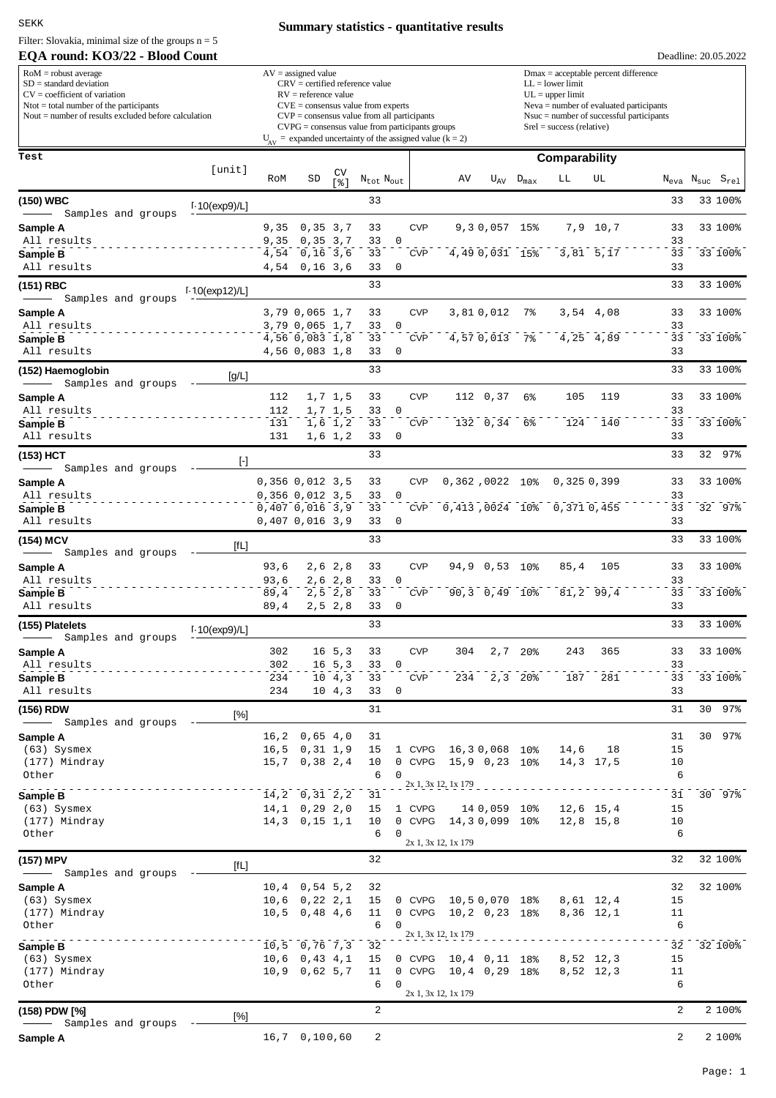SEKK

Filter: Slovakia, minimal size of the groups  $n = 5$ 

### **EQA round: KO3/22 - Blood Count**

# **Summary statistics - quantitative results**

| $RoM =$ robust average<br>$SD = standard deviation$<br>$CV = coefficient of variation$<br>$N$ tot = total number of the participants<br>Nout $=$ number of results excluded before calculation                                                                                                                                                                                                                                                                                         |                             |              | $AV = assigned value$<br>$RV =$ reference value |                            | $CRV =$ certified reference value<br>$CVE = \text{consensus value from experts}$<br>$CVP = \text{consensus value from all participants}$<br>$CVPG = \text{consensus value from participants groups}$<br>$U_{av}$ = expanded uncertainty of the assigned value (k = 2) |                 | $Dmax = acceptable percent difference$<br>$LL = lower limit$<br>$UL = upper limit$<br>$Neva = number of evaluated participants$<br>$N$ suc = number of successful participants<br>$Srel = success$ (relative) |                 |                  |                                                                  |                        |                |                                                    |  |
|----------------------------------------------------------------------------------------------------------------------------------------------------------------------------------------------------------------------------------------------------------------------------------------------------------------------------------------------------------------------------------------------------------------------------------------------------------------------------------------|-----------------------------|--------------|-------------------------------------------------|----------------------------|-----------------------------------------------------------------------------------------------------------------------------------------------------------------------------------------------------------------------------------------------------------------------|-----------------|---------------------------------------------------------------------------------------------------------------------------------------------------------------------------------------------------------------|-----------------|------------------|------------------------------------------------------------------|------------------------|----------------|----------------------------------------------------|--|
| Test                                                                                                                                                                                                                                                                                                                                                                                                                                                                                   | [unit]                      |              |                                                 |                            |                                                                                                                                                                                                                                                                       |                 |                                                                                                                                                                                                               |                 |                  | <b>Comparability</b>                                             |                        |                |                                                    |  |
|                                                                                                                                                                                                                                                                                                                                                                                                                                                                                        |                             | RoM          | SD                                              | CV<br>$s$ ]                | $N_{\text{tot}}$ $N_{\text{out}}$                                                                                                                                                                                                                                     |                 | AV                                                                                                                                                                                                            | $U_{AV}$        | $D_{\text{max}}$ | LЬ                                                               | UL                     |                | $N_{\text{eva}}$ $N_{\text{suc}}$ $S_{\text{rel}}$ |  |
| (150) WBC                                                                                                                                                                                                                                                                                                                                                                                                                                                                              | $1.10$ (exp9)/L]            |              |                                                 |                            | 33                                                                                                                                                                                                                                                                    |                 |                                                                                                                                                                                                               |                 |                  |                                                                  |                        | 33             | 33 100%                                            |  |
| Samples and groups<br>Sample A                                                                                                                                                                                                                                                                                                                                                                                                                                                         |                             | 9,35         | 0, 35, 3, 7                                     |                            | 33                                                                                                                                                                                                                                                                    | <b>CVP</b>      |                                                                                                                                                                                                               | 9, 3 0, 057 15% |                  |                                                                  | 7,9 10,7               | 33             | 33 100%                                            |  |
| All results                                                                                                                                                                                                                                                                                                                                                                                                                                                                            |                             | 9,35         | 0, 35, 3, 7                                     |                            | 33                                                                                                                                                                                                                                                                    | 0               |                                                                                                                                                                                                               |                 |                  |                                                                  |                        | 33             |                                                    |  |
| Sample B<br>All results                                                                                                                                                                                                                                                                                                                                                                                                                                                                |                             | 4,54         | $0,16$ 3,6<br>4,54 0,16 3,6                     |                            | 33<br>33                                                                                                                                                                                                                                                              | <b>CVP</b><br>0 |                                                                                                                                                                                                               | $4,490,031$ 15% |                  |                                                                  | 3,81 5,17              | 33<br>33       | 33 100%                                            |  |
| (151) RBC                                                                                                                                                                                                                                                                                                                                                                                                                                                                              |                             |              |                                                 |                            | 33                                                                                                                                                                                                                                                                    |                 |                                                                                                                                                                                                               |                 |                  |                                                                  |                        | 33             | 33 100%                                            |  |
| Samples and groups                                                                                                                                                                                                                                                                                                                                                                                                                                                                     | $1.10$ (exp12)/L]           |              |                                                 |                            |                                                                                                                                                                                                                                                                       |                 |                                                                                                                                                                                                               |                 |                  |                                                                  |                        |                |                                                    |  |
| Sample A<br>All results                                                                                                                                                                                                                                                                                                                                                                                                                                                                |                             |              | 3,79 0,065 1,7<br>3,79 0,065 1,7                |                            | 33<br>33                                                                                                                                                                                                                                                              | <b>CVP</b><br>0 |                                                                                                                                                                                                               | 3,810,012       | 7%               |                                                                  | 3,54 4,08              | 33<br>33       | 33 100%                                            |  |
| Sample B                                                                                                                                                                                                                                                                                                                                                                                                                                                                               |                             |              | 4,56 0,083 1,8                                  |                            | 33                                                                                                                                                                                                                                                                    | <b>CVP</b>      |                                                                                                                                                                                                               | 4,570,01378     |                  |                                                                  | 4,25 4,89              | 33             | 33 100%                                            |  |
| All results                                                                                                                                                                                                                                                                                                                                                                                                                                                                            |                             |              | 4,56 0,083 1,8                                  |                            | 33                                                                                                                                                                                                                                                                    | 0               |                                                                                                                                                                                                               |                 |                  |                                                                  |                        | 33             |                                                    |  |
| (152) Haemoglobin<br>Samples and groups                                                                                                                                                                                                                                                                                                                                                                                                                                                | [g/L]                       |              |                                                 |                            | 33                                                                                                                                                                                                                                                                    |                 |                                                                                                                                                                                                               |                 |                  |                                                                  |                        | 33             | 33 100%                                            |  |
| Sample A                                                                                                                                                                                                                                                                                                                                                                                                                                                                               |                             | 112          |                                                 | 1,7 1,5                    | 33                                                                                                                                                                                                                                                                    | <b>CVP</b>      |                                                                                                                                                                                                               | 112 0,37        | 6%               | 105                                                              | 119                    | 33             | 33 100%                                            |  |
| All results<br>Sample B                                                                                                                                                                                                                                                                                                                                                                                                                                                                |                             | 112<br>131   |                                                 | 1,7 1,5<br>$1,6$ 1,2       | 33<br>33                                                                                                                                                                                                                                                              | 0<br><b>CVP</b> |                                                                                                                                                                                                               | 132 0,34        | 6%               | 124                                                              | 140                    | 33<br>33       | 33 100%                                            |  |
| All results                                                                                                                                                                                                                                                                                                                                                                                                                                                                            |                             | 131          |                                                 | $1,6$ 1,2                  | 33                                                                                                                                                                                                                                                                    | 0               |                                                                                                                                                                                                               |                 |                  |                                                                  |                        | 33             |                                                    |  |
| (153) HCT                                                                                                                                                                                                                                                                                                                                                                                                                                                                              | $[\cdot]$                   |              |                                                 |                            | 33                                                                                                                                                                                                                                                                    |                 |                                                                                                                                                                                                               |                 |                  |                                                                  |                        | 33             | 32 97%                                             |  |
| Samples and groups<br>Sample A                                                                                                                                                                                                                                                                                                                                                                                                                                                         |                             |              | $0,356$ $0,012$ $3,5$                           |                            | 33                                                                                                                                                                                                                                                                    | <b>CVP</b>      |                                                                                                                                                                                                               | 0,362,0022 10%  |                  | 0,3250,399                                                       |                        | 33             | 33 100%                                            |  |
| All results                                                                                                                                                                                                                                                                                                                                                                                                                                                                            |                             |              | $0,356$ $0,012$ $3,5$                           |                            | 33                                                                                                                                                                                                                                                                    | $\Omega$        |                                                                                                                                                                                                               |                 |                  |                                                                  |                        | 33             |                                                    |  |
| Sample B<br>All results                                                                                                                                                                                                                                                                                                                                                                                                                                                                |                             |              | 0,407,0,016,3,9<br>0,407,0,016,3,9              |                            | 33<br>33                                                                                                                                                                                                                                                              | <b>CVP</b><br>0 |                                                                                                                                                                                                               |                 |                  | 0,413,0024 10% 0,371 0,455                                       |                        | 33<br>33       | 32 97%                                             |  |
| (154) MCV                                                                                                                                                                                                                                                                                                                                                                                                                                                                              | $[{\mathsf{f}} \mathsf{L}]$ |              |                                                 |                            | 33                                                                                                                                                                                                                                                                    |                 |                                                                                                                                                                                                               |                 |                  |                                                                  |                        | 33             | 33 100%                                            |  |
| Samples and groups<br>$\overline{\phantom{m}}$                                                                                                                                                                                                                                                                                                                                                                                                                                         |                             |              |                                                 |                            |                                                                                                                                                                                                                                                                       |                 |                                                                                                                                                                                                               |                 |                  |                                                                  |                        |                |                                                    |  |
| Sample A<br>All results                                                                                                                                                                                                                                                                                                                                                                                                                                                                |                             | 93,6<br>93,6 |                                                 | 2,6 2,8<br>2,6,2,8         | 33<br>33                                                                                                                                                                                                                                                              | <b>CVP</b><br>0 | 94,9                                                                                                                                                                                                          | $0,53$ 10%      |                  | 85,4                                                             | 105                    | 33<br>33       | 33 100%                                            |  |
| Sample B                                                                                                                                                                                                                                                                                                                                                                                                                                                                               |                             | 89,4         |                                                 | $2, 5$ 2,8                 | 33                                                                                                                                                                                                                                                                    | <b>CVP</b>      |                                                                                                                                                                                                               | 90,3 0,49 10%   |                  |                                                                  | $81, 2$ 99,4           | 33             | 33 100%                                            |  |
| All results                                                                                                                                                                                                                                                                                                                                                                                                                                                                            |                             | 89,4         |                                                 | $2, 5$ 2,8                 | 33<br>33                                                                                                                                                                                                                                                              | 0               |                                                                                                                                                                                                               |                 |                  |                                                                  |                        | 33<br>33       | 33 100%                                            |  |
| (155) Platelets<br>Samples and groups<br>$\frac{1}{1} \left( \frac{1}{1} \right)^{2} \left( \frac{1}{1} \right)^{2} \left( \frac{1}{1} \right)^{2} \left( \frac{1}{1} \right)^{2} \left( \frac{1}{1} \right)^{2} \left( \frac{1}{1} \right)^{2} \left( \frac{1}{1} \right)^{2} \left( \frac{1}{1} \right)^{2} \left( \frac{1}{1} \right)^{2} \left( \frac{1}{1} \right)^{2} \left( \frac{1}{1} \right)^{2} \left( \frac{1}{1} \right)^{2} \left( \frac{1}{1} \right)^{2} \left( \frac$ | $1.10$ (exp9)/L]            |              |                                                 |                            |                                                                                                                                                                                                                                                                       |                 |                                                                                                                                                                                                               |                 |                  |                                                                  |                        |                |                                                    |  |
| Sample A                                                                                                                                                                                                                                                                                                                                                                                                                                                                               |                             | 302          |                                                 | $16\;\;5,3$                | 33                                                                                                                                                                                                                                                                    | <b>CVP</b>      | 304                                                                                                                                                                                                           |                 | $2,7$ 20%        | 243                                                              | 365                    | 33             | 33 100%                                            |  |
| All results<br><u>.</u><br>Sample B                                                                                                                                                                                                                                                                                                                                                                                                                                                    |                             | 302<br>234   |                                                 | $16 \t5.3$<br>$10 \t 4, 3$ | 330<br>33                                                                                                                                                                                                                                                             | CVP             |                                                                                                                                                                                                               |                 |                  | $234$ $2,3$ $20%$ $187$ $281$                                    |                        | 33<br>33       | 33 100%                                            |  |
| All results                                                                                                                                                                                                                                                                                                                                                                                                                                                                            |                             | 234          |                                                 | $10 \t 4, 3$               | 33                                                                                                                                                                                                                                                                    | 0               |                                                                                                                                                                                                               |                 |                  |                                                                  |                        | 33             |                                                    |  |
| (156) RDW                                                                                                                                                                                                                                                                                                                                                                                                                                                                              | [%]                         |              |                                                 |                            | 31                                                                                                                                                                                                                                                                    |                 |                                                                                                                                                                                                               |                 |                  |                                                                  |                        | 31             | 30 97%                                             |  |
| - Samples and groups -<br>Sample A                                                                                                                                                                                                                                                                                                                                                                                                                                                     |                             |              | $16, 2$ 0,65 4,0                                |                            | 31                                                                                                                                                                                                                                                                    |                 |                                                                                                                                                                                                               |                 |                  |                                                                  |                        | 31             | 30 97%                                             |  |
| (63) Sysmex                                                                                                                                                                                                                                                                                                                                                                                                                                                                            |                             |              | $16, 5$ 0, 31 1, 9                              |                            | 15                                                                                                                                                                                                                                                                    |                 | 1 CVPG 16,30,068 10%                                                                                                                                                                                          |                 |                  |                                                                  | 14,6 18                | 15             |                                                    |  |
| (177) Mindray<br>Other                                                                                                                                                                                                                                                                                                                                                                                                                                                                 |                             |              | $15,7$ 0,38 2,4                                 |                            | 10<br>6                                                                                                                                                                                                                                                               | $\mathbf 0$     | 0 CVPG 15,9 0,23 10%                                                                                                                                                                                          |                 |                  |                                                                  | 14,3 17,5              | 10<br>6        |                                                    |  |
| Sample B                                                                                                                                                                                                                                                                                                                                                                                                                                                                               |                             |              | $14, 2$ 0, 31 2, 2                              |                            | 31                                                                                                                                                                                                                                                                    |                 | 2x 1, 3x 12, 1x 179                                                                                                                                                                                           |                 |                  |                                                                  |                        | 31             | 30 97%                                             |  |
| (63) Sysmex                                                                                                                                                                                                                                                                                                                                                                                                                                                                            |                             |              | $14, 1$ 0, 29 2, 0                              |                            | 15                                                                                                                                                                                                                                                                    |                 | 1 CVPG 14 0,059 10%                                                                                                                                                                                           |                 |                  |                                                                  | $12,6$ 15,4            | 15             |                                                    |  |
| (177) Mindray<br>Other                                                                                                                                                                                                                                                                                                                                                                                                                                                                 |                             |              | $14,3$ 0, 15 1, 1                               |                            | 10<br>6                                                                                                                                                                                                                                                               | 0               | 0 CVPG 14,30,099 10%                                                                                                                                                                                          |                 |                  |                                                                  | $12,8$ 15,8            | 10<br>6        |                                                    |  |
|                                                                                                                                                                                                                                                                                                                                                                                                                                                                                        |                             |              |                                                 |                            |                                                                                                                                                                                                                                                                       |                 | 2x 1, 3x 12, 1x 179                                                                                                                                                                                           |                 |                  |                                                                  |                        |                |                                                    |  |
| (157) MPV<br>- Samples and groups -                                                                                                                                                                                                                                                                                                                                                                                                                                                    | [fL]                        |              |                                                 |                            | 32                                                                                                                                                                                                                                                                    |                 |                                                                                                                                                                                                               |                 |                  |                                                                  |                        | 32             | 32 100%                                            |  |
| Sample A                                                                                                                                                                                                                                                                                                                                                                                                                                                                               |                             |              | $10, 4$ 0,54 5,2                                |                            | 32                                                                                                                                                                                                                                                                    |                 |                                                                                                                                                                                                               |                 |                  |                                                                  |                        | 32             | 32 100%                                            |  |
| (63) Sysmex<br>(177) Mindray                                                                                                                                                                                                                                                                                                                                                                                                                                                           |                             |              | $10,6$ 0, 22 2, 1<br>$10,5$ 0,48 4,6            |                            | 15<br>11                                                                                                                                                                                                                                                              |                 | 0 CVPG 10,50,070 18%<br>0 CVPG 10,2 0,23 18%                                                                                                                                                                  |                 |                  |                                                                  | 8,61 12,4<br>8,36 12,1 | 15<br>11       |                                                    |  |
| Other                                                                                                                                                                                                                                                                                                                                                                                                                                                                                  |                             |              |                                                 |                            | 6                                                                                                                                                                                                                                                                     | 0               |                                                                                                                                                                                                               |                 |                  |                                                                  |                        | 6              |                                                    |  |
| Sample B                                                                                                                                                                                                                                                                                                                                                                                                                                                                               |                             |              | $10,5$ 0,76 7,3                                 |                            | 32                                                                                                                                                                                                                                                                    |                 | 2x 1, 3x 12, 1x 179                                                                                                                                                                                           |                 |                  |                                                                  |                        | 32             | 32 100%                                            |  |
| (63) Sysmex<br>(177) Mindray                                                                                                                                                                                                                                                                                                                                                                                                                                                           |                             |              | $10,6$ 0,43 4,1<br>$10,9$ 0,62 5,7              |                            | 15<br>11                                                                                                                                                                                                                                                              |                 |                                                                                                                                                                                                               |                 |                  | 0 CVPG 10,4 0,11 18% 8,52 12,3<br>0 CVPG 10,4 0,29 18% 8,52 12,3 |                        | 15<br>11       |                                                    |  |
| Other                                                                                                                                                                                                                                                                                                                                                                                                                                                                                  |                             |              |                                                 |                            | 6                                                                                                                                                                                                                                                                     | 0               |                                                                                                                                                                                                               |                 |                  |                                                                  |                        | 6              |                                                    |  |
|                                                                                                                                                                                                                                                                                                                                                                                                                                                                                        |                             |              |                                                 |                            | 2                                                                                                                                                                                                                                                                     |                 | 2x 1, 3x 12, 1x 179                                                                                                                                                                                           |                 |                  |                                                                  |                        | $\overline{a}$ | 2 100%                                             |  |
| (158) PDW [%]<br>- Samples and groups -                                                                                                                                                                                                                                                                                                                                                                                                                                                | [%]                         |              |                                                 |                            |                                                                                                                                                                                                                                                                       |                 |                                                                                                                                                                                                               |                 |                  |                                                                  |                        |                |                                                    |  |
| Sample A                                                                                                                                                                                                                                                                                                                                                                                                                                                                               |                             |              | 16,7 0,100,60                                   |                            | 2                                                                                                                                                                                                                                                                     |                 |                                                                                                                                                                                                               |                 |                  |                                                                  |                        | 2              | 2 100%                                             |  |

Deadline: 20.05.2022